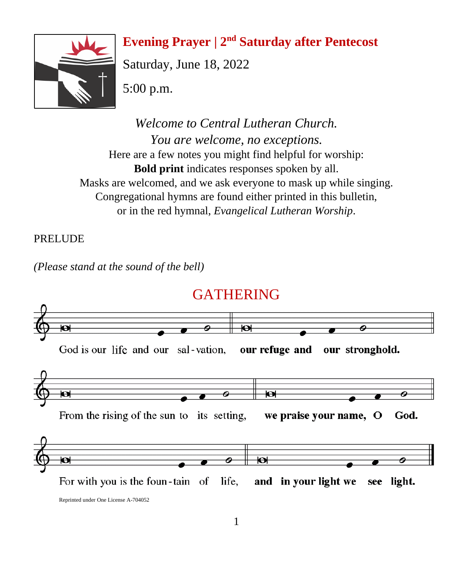# **Evening Prayer** | 2<sup>nd</sup> Saturday after Pentecost



Saturday, June 18, 2022

5:00 p.m.

*Welcome to Central Lutheran Church. You are welcome, no exceptions.* Here are a few notes you might find helpful for worship: **Bold print** indicates responses spoken by all. Masks are welcomed, and we ask everyone to mask up while singing. Congregational hymns are found either printed in this bulletin, or in the red hymnal, *Evangelical Lutheran Worship*.

## PRELUDE

*(Please stand at the sound of the bell)*

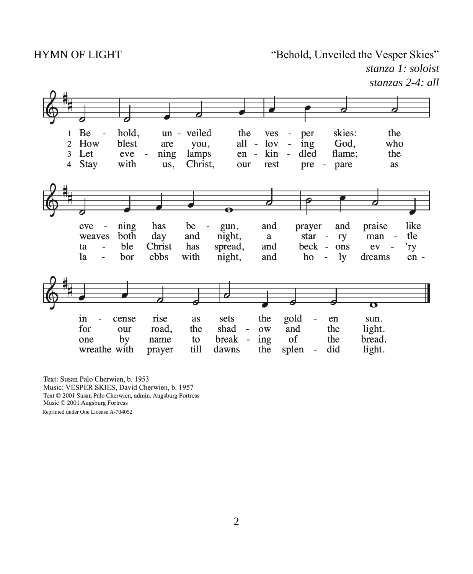HYMN OF LIGHT "Behold, Unveiled the Vesper Skies" *stanza 1: soloist*

*stanzas 2-4: all*



Text: Susan Palo Cherwien, b. 1953 Music: VESPER SKIES, David Cherwien, b. 1957 Text © 2001 Susan Palo Cherwien, admin. Augsburg Fortress Music © 2001 Augsburg Fortress Reprinted under One License A-704052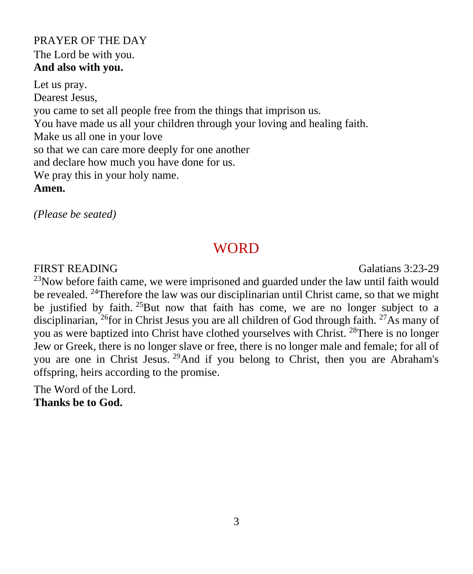#### PRAYER OF THE DAY The Lord be with you. **And also with you.**

Let us pray. Dearest Jesus, you came to set all people free from the things that imprison us. You have made us all your children through your loving and healing faith. Make us all one in your love so that we can care more deeply for one another and declare how much you have done for us. We pray this in your holy name. **Amen.**

*(Please be seated)*

## **WORD**

FIRST READING Galatians 3:23-29

 $^{23}$ Now before faith came, we were imprisoned and guarded under the law until faith would be revealed. <sup>24</sup>Therefore the law was our disciplinarian until Christ came, so that we might be justified by faith. <sup>25</sup>But now that faith has come, we are no longer subject to a disciplinarian, <sup>26</sup>for in Christ Jesus you are all children of God through faith. <sup>27</sup>As many of you as were baptized into Christ have clothed yourselves with Christ. <sup>28</sup>There is no longer Jew or Greek, there is no longer slave or free, there is no longer male and female; for all of you are one in Christ Jesus. <sup>29</sup>And if you belong to Christ, then you are Abraham's offspring, heirs according to the promise.

The Word of the Lord. **Thanks be to God.**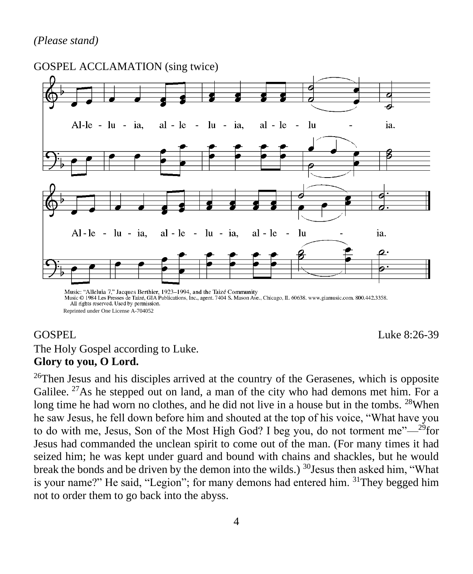#### *(Please stand)*



Music © 1984 Les Presses de Taizé, GIA Publications, Ínc., agent. 7404 S. Mason Ave., Chicago, IL 60638. www.giamusic.com. 800.442.3358. All rights reserved. Used by permission. Reprinted under One License A-704052

GOSPEL Luke 8:26-39

## The Holy Gospel according to Luke. **Glory to you, O Lord.**

<sup>26</sup>Then Jesus and his disciples arrived at the country of the Gerasenes, which is opposite Galilee.  $27$ As he stepped out on land, a man of the city who had demons met him. For a long time he had worn no clothes, and he did not live in a house but in the tombs. <sup>28</sup>When he saw Jesus, he fell down before him and shouted at the top of his voice, "What have you to do with me, Jesus, Son of the Most High God? I beg you, do not torment me" $-$ <sup>29</sup>for Jesus had commanded the unclean spirit to come out of the man. (For many times it had seized him; he was kept under guard and bound with chains and shackles, but he would break the bonds and be driven by the demon into the wilds.)  $^{30}$ Jesus then asked him, "What is your name?" He said, "Legion"; for many demons had entered him. <sup>31</sup>They begged him not to order them to go back into the abyss.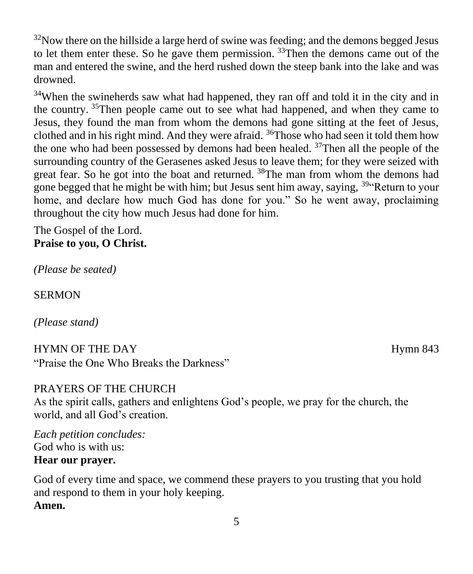$32$ Now there on the hillside a large herd of swine was feeding; and the demons begged Jesus to let them enter these. So he gave them permission.  $33$ Then the demons came out of the man and entered the swine, and the herd rushed down the steep bank into the lake and was drowned.

<sup>34</sup>When the swineherds saw what had happened, they ran off and told it in the city and in the country. <sup>35</sup>Then people came out to see what had happened, and when they came to Jesus, they found the man from whom the demons had gone sitting at the feet of Jesus, clothed and in his right mind. And they were afraid. <sup>36</sup>Those who had seen it told them how the one who had been possessed by demons had been healed.  $37$ Then all the people of the surrounding country of the Gerasenes asked Jesus to leave them; for they were seized with great fear. So he got into the boat and returned. <sup>38</sup>The man from whom the demons had gone begged that he might be with him; but Jesus sent him away, saying, <sup>39</sup> Return to your home, and declare how much God has done for you." So he went away, proclaiming throughout the city how much Jesus had done for him.

The Gospel of the Lord. **Praise to you, O Christ.**

*(Please be seated)*

SERMON

*(Please stand)*

HYMN OF THE DAY **Hymn 843** "Praise the One Who Breaks the Darkness"

#### PRAYERS OF THE CHURCH

As the spirit calls, gathers and enlightens God's people, we pray for the church, the world, and all God's creation.

*Each petition concludes:* God who is with us: **Hear our prayer.**

God of every time and space, we commend these prayers to you trusting that you hold and respond to them in your holy keeping. **Amen.**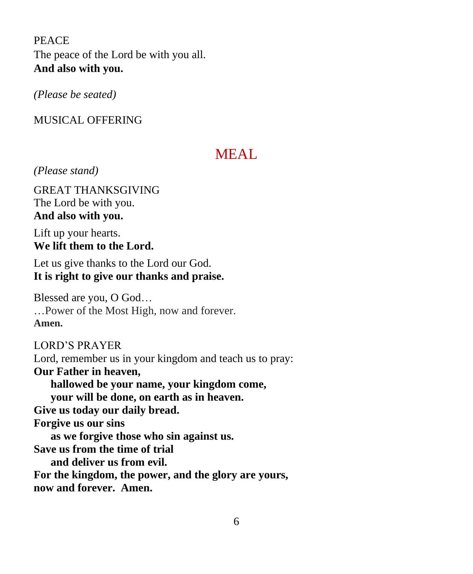PEACE The peace of the Lord be with you all. **And also with you.**

*(Please be seated)*

## MUSICAL OFFERING

# MEAL.

*(Please stand)*

GREAT THANKSGIVING The Lord be with you. **And also with you.** 

Lift up your hearts. **We lift them to the Lord.** 

Let us give thanks to the Lord our God. **It is right to give our thanks and praise.** 

Blessed are you, O God… …Power of the Most High, now and forever. **Amen.**

LORD'S PRAYER Lord, remember us in your kingdom and teach us to pray: **Our Father in heaven, hallowed be your name, your kingdom come, your will be done, on earth as in heaven. Give us today our daily bread. Forgive us our sins as we forgive those who sin against us. Save us from the time of trial and deliver us from evil. For the kingdom, the power, and the glory are yours, now and forever. Amen.**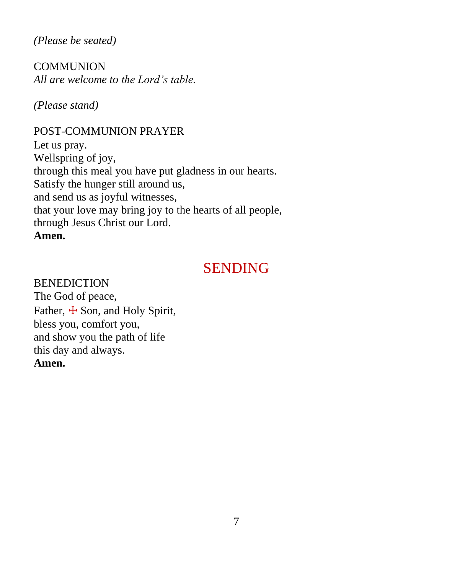*(Please be seated)*

**COMMUNION** *All are welcome to the Lord's table.*

*(Please stand)*

## POST-COMMUNION PRAYER

Let us pray. Wellspring of joy, through this meal you have put gladness in our hearts. Satisfy the hunger still around us, and send us as joyful witnesses, that your love may bring joy to the hearts of all people, through Jesus Christ our Lord. **Amen.**

## SENDING

BENEDICTION The God of peace, Father,  $\pm$  Son, and Holy Spirit, bless you, comfort you, and show you the path of life this day and always. **Amen.**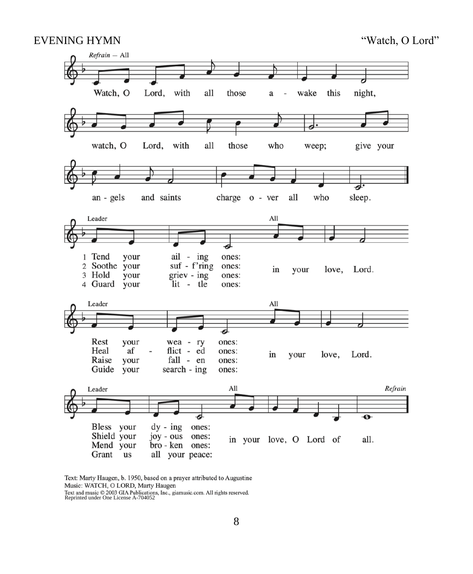#### EVENING HYMN "Watch, O Lord"



Text: Marty Haugen, b. 1950, based on a prayer attributed to Augustine Music: WATCH, O LORD, Marty Haugen Text and music  $\oslash$  2003 GIA Publications, Inc., giamusic.com. All rights reserved.<br>Reprinted under One License A-704052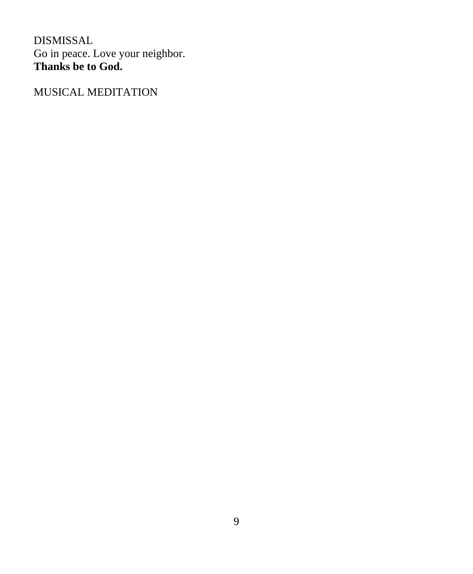DISMISSAL Go in peace. Love your neighbor. **Thanks be to God.**

MUSICAL MEDITATION